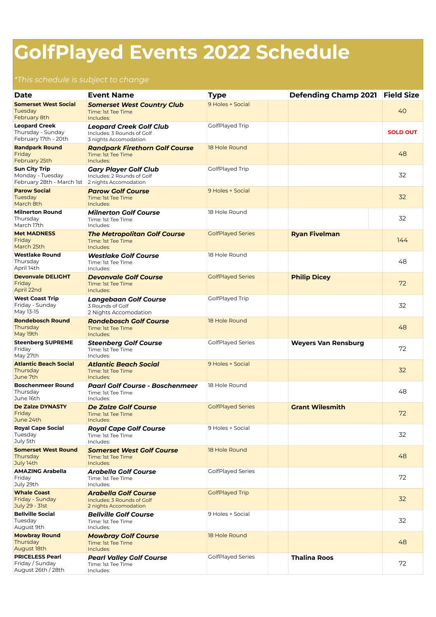## **GolfPlayed Events 2022 Schedule**

## *\*This schedule is subject to change*

| <b>Date</b>                                                                                 | <b>Event Name</b>                                                                     | <b>Type</b>              | Defending Champ 2021 Field Size |                 |
|---------------------------------------------------------------------------------------------|---------------------------------------------------------------------------------------|--------------------------|---------------------------------|-----------------|
| <b>Somerset West Social</b><br>Tuesdav<br>February 8th                                      | <b>Somerset West Country Club</b><br>Time: 1st Tee Time<br>Includes:                  | 9 Holes + Social         |                                 | 40              |
| <b>Leopard Creek</b><br>Thursday - Sunday<br>February 17th - 20th                           | <b>Leopard Creek Golf Club</b><br>Includes: 3 Rounds of Golf<br>3 nights Accomodation | GolfPlayed Trip          |                                 | <b>SOLD OUT</b> |
| <b>Randpark Round</b><br>Friday<br>February 25th                                            | <b>Randpark Firethorn Golf Course</b><br>Time: 1st Tee Time<br>Includes:              | 18 Hole Round            |                                 | 48              |
| <b>Sun City Trip</b><br>Monday - Tuesday<br>February 28th - March 1st 2 nights Accomodation | <b>Gary Player Golf Club</b><br>Includes: 2 Rounds of Golf                            | GolfPlayed Trip          |                                 | 32              |
| <b>Parow Social</b><br>Tuesday<br>March 8th                                                 | <b>Parow Golf Course</b><br>Time: 1st Tee Time<br>Includes:                           | 9 Holes + Social         |                                 | 32              |
| <b>Milnerton Round</b><br>Thursday<br>March 17th                                            | <b>Milnerton Golf Course</b><br>Time: 1st Tee Time<br>Includes:                       | 18 Hole Round            |                                 | 32              |
| <b>Met MADNESS</b><br>Friday<br>March 25th                                                  | <b>The Metropolitan Golf Course</b><br>Time: 1st Tee Time<br>Includes:                | <b>GolfPlayed Series</b> | <b>Ryan Fivelman</b>            | 144             |
| <b>Westlake Round</b><br>Thursday<br>April 14th                                             | <b>Westlake Golf Course</b><br>Time: 1st Tee Time<br>Includes:                        | 18 Hole Round            |                                 | 48              |
| <b>Devonvale DELIGHT</b><br>Friday<br>April 22nd                                            | <b>Devonvale Golf Course</b><br>Time: 1st Tee Time<br>Includes:                       | <b>GolfPlayed Series</b> | <b>Philip Dicey</b>             | 72              |
| <b>West Coast Trip</b><br>Friday - Sunday<br>May 13-15                                      | <b>Langebaan Golf Course</b><br>3 Rounds of Golf<br>2 Nights Accomodation             | GolfPlayed Trip          |                                 | 32              |
| <b>Rondebosch Round</b><br>Thursday<br>May 19th                                             | <b>Rondebosch Golf Course</b><br>Time: 1st Tee Time<br>Includes:                      | 18 Hole Round            |                                 | 48              |
| <b>Steenberg SUPREME</b><br>Friday<br>May 27th                                              | <b>Steenberg Golf Course</b><br>Time: 1st Tee Time<br>Includes:                       | <b>GolfPlayed Series</b> | <b>Weyers Van Rensburg</b>      | 72              |
| <b>Atlantic Beach Social</b><br>Thursday<br>June 7th                                        | <b>Atlantic Beach Social</b><br>Time: 1st Tee Time<br>Includes:                       | 9 Holes + Social         |                                 | 32              |
| <b>Boschenmeer Round</b><br>Thursday<br>June 16th                                           | <b>Paarl Golf Course - Boschenmeer</b><br>Time: 1st Tee Time<br>Includes:             | 18 Hole Round            |                                 | 48              |
| <b>De Zalze DYNASTY</b><br>Friday<br>June 24th                                              | De Zalze Golf Course<br>Time: 1st Tee Time<br>Includes:                               | <b>GolfPlayed Series</b> | <b>Grant Wilesmith</b>          | 72              |
| <b>Royal Cape Social</b><br>Tuesday<br>July 5th                                             | <b>Royal Cape Golf Course</b><br>Time: 1st Tee Time<br>Includes:                      | 9 Holes + Social         |                                 | 32              |
| <b>Somerset West Round</b><br>Thursday<br>July 14th                                         | <b>Somerset West Golf Course</b><br>Time: 1st Tee Time<br>Includes:                   | 18 Hole Round            |                                 | 48              |
| <b>AMAZING Arabella</b><br>Friday<br>July 29th                                              | Arabella Golf Course<br>Time: 1st Tee Time<br>Includes:                               | <b>GolfPlayed Series</b> |                                 | 72              |
| <b>Whale Coast</b><br>Friday - Sunday<br>July 29 - 31st                                     | <b>Arabella Golf Course</b><br>Includes: 3 Rounds of Golf<br>2 nights Accomodation    | <b>GolfPlayed Trip</b>   |                                 | 32              |
| <b>Bellville Social</b><br>Tuesday<br>August 9th                                            | <b>Bellville Golf Course</b><br>Time: 1st Tee Time<br>Includes:                       | 9 Holes + Social         |                                 | 32              |
| <b>Mowbray Round</b><br>Thursday<br>August 18th                                             | <b>Mowbray Golf Course</b><br>Time: 1st Tee Time<br>Includes:                         | 18 Hole Round            |                                 | 48              |
| <b>PRICELESS Pearl</b><br>Friday / Sunday<br>August 26th / 28th                             | <b>Pearl Valley Golf Course</b><br>Time: 1st Tee Time<br>Includes:                    | <b>GolfPlayed Series</b> | <b>Thalina Roos</b>             | 72              |